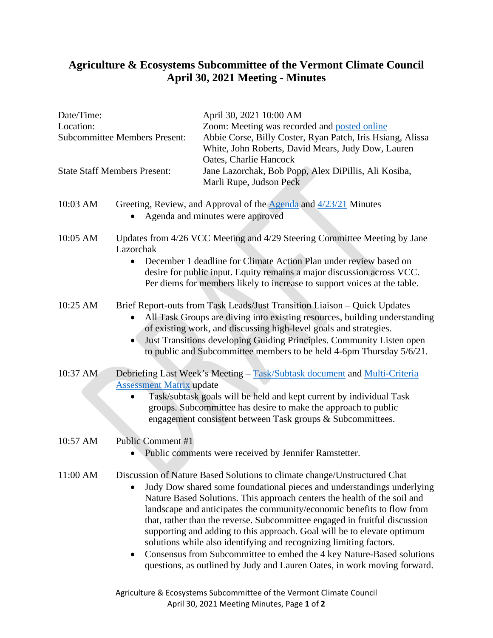## **Agriculture & Ecosystems Subcommittee of the Vermont Climate Council April 30, 2021 Meeting - Minutes**

......

| Date/Time:<br>Location:             | <b>Subcommittee Members Present:</b>                                                                                                                                                                                                                                                                                                                                          | April 30, 2021 10:00 AM<br>Zoom: Meeting was recorded and posted online<br>Abbie Corse, Billy Coster, Ryan Patch, Iris Hsiang, Alissa<br>White, John Roberts, David Mears, Judy Dow, Lauren<br>Oates, Charlie Hancock                                                                                                                                                                                                                                                                                                                                                                                                                                                                        |
|-------------------------------------|-------------------------------------------------------------------------------------------------------------------------------------------------------------------------------------------------------------------------------------------------------------------------------------------------------------------------------------------------------------------------------|----------------------------------------------------------------------------------------------------------------------------------------------------------------------------------------------------------------------------------------------------------------------------------------------------------------------------------------------------------------------------------------------------------------------------------------------------------------------------------------------------------------------------------------------------------------------------------------------------------------------------------------------------------------------------------------------|
| <b>State Staff Members Present:</b> |                                                                                                                                                                                                                                                                                                                                                                               | Jane Lazorchak, Bob Popp, Alex DiPillis, Ali Kosiba,<br>Marli Rupe, Judson Peck                                                                                                                                                                                                                                                                                                                                                                                                                                                                                                                                                                                                              |
| 10:03 AM                            | Greeting, Review, and Approval of the Agenda and 4/23/21 Minutes<br>Agenda and minutes were approved                                                                                                                                                                                                                                                                          |                                                                                                                                                                                                                                                                                                                                                                                                                                                                                                                                                                                                                                                                                              |
| 10:05 AM                            | Updates from 4/26 VCC Meeting and 4/29 Steering Committee Meeting by Jane<br>Lazorchak<br>December 1 deadline for Climate Action Plan under review based on<br>desire for public input. Equity remains a major discussion across VCC.<br>Per diems for members likely to increase to support voices at the table.                                                             |                                                                                                                                                                                                                                                                                                                                                                                                                                                                                                                                                                                                                                                                                              |
| 10:25 AM                            | Brief Report-outs from Task Leads/Just Transition Liaison - Quick Updates<br>All Task Groups are diving into existing resources, building understanding<br>of existing work, and discussing high-level goals and strategies.<br>Just Transitions developing Guiding Principles. Community Listen open<br>to public and Subcommittee members to be held 4-6pm Thursday 5/6/21. |                                                                                                                                                                                                                                                                                                                                                                                                                                                                                                                                                                                                                                                                                              |
| 10:37 AM                            | Debriefing Last Week's Meeting - Task/Subtask document and Multi-Criteria<br><b>Assessment Matrix update</b><br>Task/subtask goals will be held and kept current by individual Task<br>groups. Subcommittee has desire to make the approach to public<br>engagement consistent between Task groups & Subcommittees.                                                           |                                                                                                                                                                                                                                                                                                                                                                                                                                                                                                                                                                                                                                                                                              |
| 10:57 AM                            | Public Comment #1<br>Public comments were received by Jennifer Ramstetter.                                                                                                                                                                                                                                                                                                    |                                                                                                                                                                                                                                                                                                                                                                                                                                                                                                                                                                                                                                                                                              |
| 11:00 AM                            |                                                                                                                                                                                                                                                                                                                                                                               | Discussion of Nature Based Solutions to climate change/Unstructured Chat<br>Judy Dow shared some foundational pieces and understandings underlying<br>Nature Based Solutions. This approach centers the health of the soil and<br>landscape and anticipates the community/economic benefits to flow from<br>that, rather than the reverse. Subcommittee engaged in fruitful discussion<br>supporting and adding to this approach. Goal will be to elevate optimum<br>solutions while also identifying and recognizing limiting factors.<br>Consensus from Subcommittee to embed the 4 key Nature-Based solutions<br>questions, as outlined by Judy and Lauren Oates, in work moving forward. |

Agriculture & Ecosystems Subcommittee of the Vermont Climate Council April 30, 2021 Meeting Minutes, Page **1** of **2**